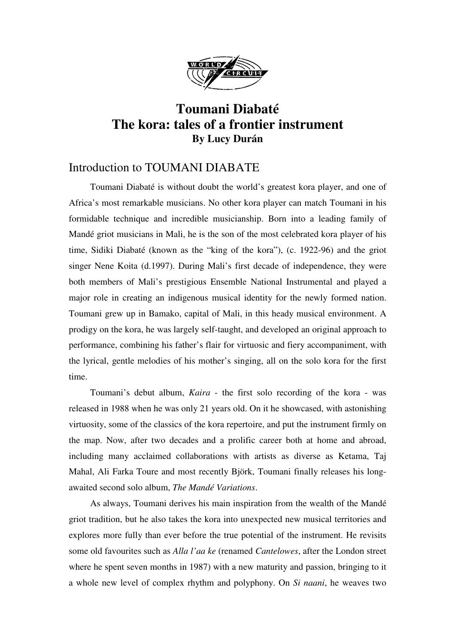

# **Toumani Diabaté The kora: tales of a frontier instrument By Lucy Durán**

## Introduction to TOUMANI DIABATE

Toumani Diabaté is without doubt the world's greatest kora player, and one of Africa's most remarkable musicians. No other kora player can match Toumani in his formidable technique and incredible musicianship. Born into a leading family of Mandé griot musicians in Mali, he is the son of the most celebrated kora player of his time, Sidiki Diabaté (known as the "king of the kora"), (c. 1922-96) and the griot singer Nene Koita (d.1997). During Mali's first decade of independence, they were both members of Mali's prestigious Ensemble National Instrumental and played a major role in creating an indigenous musical identity for the newly formed nation. Toumani grew up in Bamako, capital of Mali, in this heady musical environment. A prodigy on the kora, he was largely self-taught, and developed an original approach to performance, combining his father's flair for virtuosic and fiery accompaniment, with the lyrical, gentle melodies of his mother's singing, all on the solo kora for the first time.

Toumani's debut album, *Kaira* - the first solo recording of the kora - was released in 1988 when he was only 21 years old. On it he showcased, with astonishing virtuosity, some of the classics of the kora repertoire, and put the instrument firmly on the map. Now, after two decades and a prolific career both at home and abroad, including many acclaimed collaborations with artists as diverse as Ketama, Taj Mahal, Ali Farka Toure and most recently Björk, Toumani finally releases his longawaited second solo album, *The Mandé Variations*.

As always, Toumani derives his main inspiration from the wealth of the Mandé griot tradition, but he also takes the kora into unexpected new musical territories and explores more fully than ever before the true potential of the instrument. He revisits some old favourites such as *Alla l'aa ke* (renamed *Cantelowes*, after the London street where he spent seven months in 1987) with a new maturity and passion, bringing to it a whole new level of complex rhythm and polyphony. On *Si naani*, he weaves two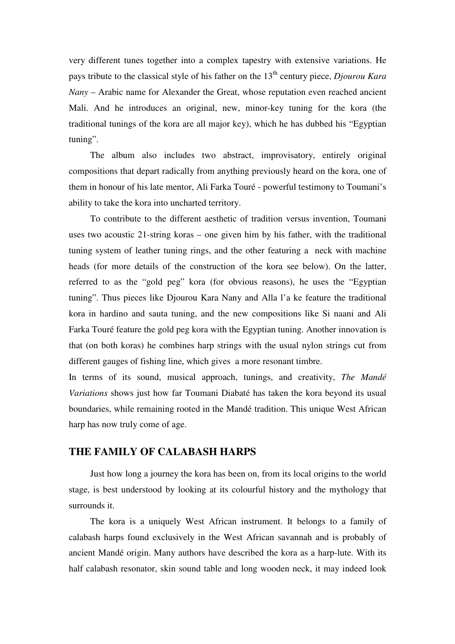very different tunes together into a complex tapestry with extensive variations. He pays tribute to the classical style of his father on the 13<sup>th</sup> century piece, *Djourou Kara Nany* – Arabic name for Alexander the Great, whose reputation even reached ancient Mali. And he introduces an original, new, minor-key tuning for the kora (the traditional tunings of the kora are all major key), which he has dubbed his "Egyptian tuning".

The album also includes two abstract, improvisatory, entirely original compositions that depart radically from anything previously heard on the kora, one of them in honour of his late mentor, Ali Farka Touré - powerful testimony to Toumani's ability to take the kora into uncharted territory.

To contribute to the different aesthetic of tradition versus invention, Toumani uses two acoustic 21-string koras – one given him by his father, with the traditional tuning system of leather tuning rings, and the other featuring a neck with machine heads (for more details of the construction of the kora see below). On the latter, referred to as the "gold peg" kora (for obvious reasons), he uses the "Egyptian tuning". Thus pieces like Djourou Kara Nany and Alla l'a ke feature the traditional kora in hardino and sauta tuning, and the new compositions like Si naani and Ali Farka Touré feature the gold peg kora with the Egyptian tuning. Another innovation is that (on both koras) he combines harp strings with the usual nylon strings cut from different gauges of fishing line, which gives a more resonant timbre.

In terms of its sound, musical approach, tunings, and creativity, *The Mandé Variations* shows just how far Toumani Diabaté has taken the kora beyond its usual boundaries, while remaining rooted in the Mandé tradition. This unique West African harp has now truly come of age.

### **THE FAMILY OF CALABASH HARPS**

Just how long a journey the kora has been on, from its local origins to the world stage, is best understood by looking at its colourful history and the mythology that surrounds it.

The kora is a uniquely West African instrument. It belongs to a family of calabash harps found exclusively in the West African savannah and is probably of ancient Mandé origin. Many authors have described the kora as a harp-lute. With its half calabash resonator, skin sound table and long wooden neck, it may indeed look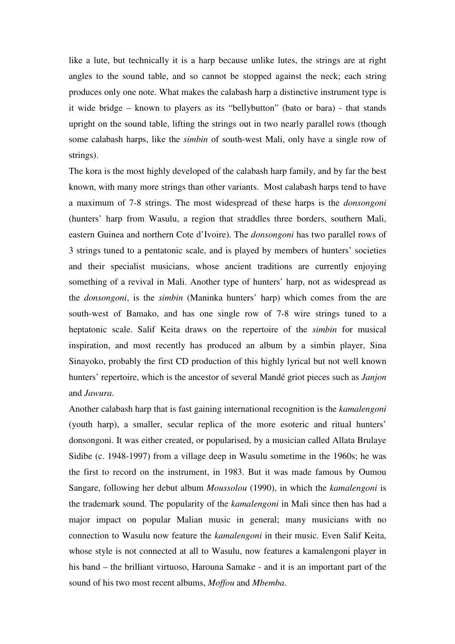like a lute, but technically it is a harp because unlike lutes, the strings are at right angles to the sound table, and so cannot be stopped against the neck; each string produces only one note. What makes the calabash harp a distinctive instrument type is it wide bridge – known to players as its "bellybutton" (bato or bara) - that stands upright on the sound table, lifting the strings out in two nearly parallel rows (though some calabash harps, like the *simbin* of south-west Mali, only have a single row of strings).

The kora is the most highly developed of the calabash harp family, and by far the best known, with many more strings than other variants. Most calabash harps tend to have a maximum of 7-8 strings. The most widespread of these harps is the *donsongoni* (hunters' harp from Wasulu, a region that straddles three borders, southern Mali, eastern Guinea and northern Cote d'Ivoire). The *donsongoni* has two parallel rows of 3 strings tuned to a pentatonic scale, and is played by members of hunters' societies and their specialist musicians, whose ancient traditions are currently enjoying something of a revival in Mali. Another type of hunters' harp, not as widespread as the *donsongoni*, is the *simbin* (Maninka hunters' harp) which comes from the are south-west of Bamako, and has one single row of 7-8 wire strings tuned to a heptatonic scale. Salif Keita draws on the repertoire of the *simbin* for musical inspiration, and most recently has produced an album by a simbin player, Sina Sinayoko, probably the first CD production of this highly lyrical but not well known hunters' repertoire, which is the ancestor of several Mandé griot pieces such as *Janjon* and *Jawura*.

Another calabash harp that is fast gaining international recognition is the *kamalengoni* (youth harp), a smaller, secular replica of the more esoteric and ritual hunters' donsongoni. It was either created, or popularised, by a musician called Allata Brulaye Sidibe (c. 1948-1997) from a village deep in Wasulu sometime in the 1960s; he was the first to record on the instrument, in 1983. But it was made famous by Oumou Sangare, following her debut album *Moussolou* (1990), in which the *kamalengoni* is the trademark sound. The popularity of the *kamalengoni* in Mali since then has had a major impact on popular Malian music in general; many musicians with no connection to Wasulu now feature the *kamalengoni* in their music. Even Salif Keita, whose style is not connected at all to Wasulu, now features a kamalengoni player in his band – the brilliant virtuoso, Harouna Samake - and it is an important part of the sound of his two most recent albums, *Moffou* and *Mbemba*.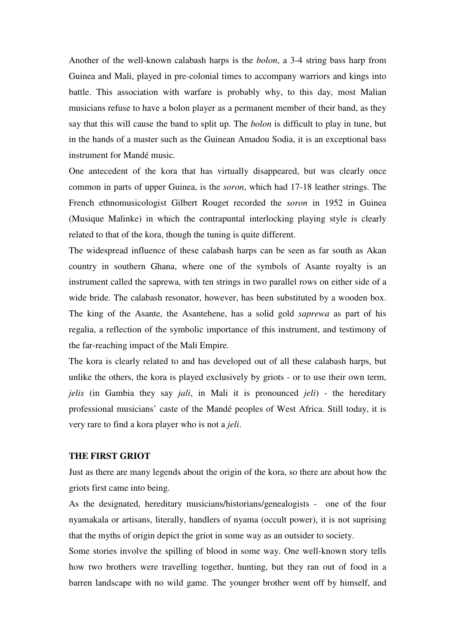Another of the well-known calabash harps is the *bolon*, a 3-4 string bass harp from Guinea and Mali, played in pre-colonial times to accompany warriors and kings into battle. This association with warfare is probably why, to this day, most Malian musicians refuse to have a bolon player as a permanent member of their band, as they say that this will cause the band to split up. The *bolon* is difficult to play in tune, but in the hands of a master such as the Guinean Amadou Sodia, it is an exceptional bass instrument for Mandé music.

One antecedent of the kora that has virtually disappeared, but was clearly once common in parts of upper Guinea, is the *soron*, which had 17-18 leather strings. The French ethnomusicologist Gilbert Rouget recorded the *soron* in 1952 in Guinea (Musique Malinke) in which the contrapuntal interlocking playing style is clearly related to that of the kora, though the tuning is quite different.

The widespread influence of these calabash harps can be seen as far south as Akan country in southern Ghana, where one of the symbols of Asante royalty is an instrument called the saprewa, with ten strings in two parallel rows on either side of a wide bride. The calabash resonator, however, has been substituted by a wooden box. The king of the Asante, the Asantehene, has a solid gold *saprewa* as part of his regalia, a reflection of the symbolic importance of this instrument, and testimony of the far-reaching impact of the Mali Empire.

The kora is clearly related to and has developed out of all these calabash harps, but unlike the others, the kora is played exclusively by griots - or to use their own term, *jelis* (in Gambia they say *jali*, in Mali it is pronounced *jeli*) - the hereditary professional musicians' caste of the Mandé peoples of West Africa. Still today, it is very rare to find a kora player who is not a *jeli*.

#### **THE FIRST GRIOT**

Just as there are many legends about the origin of the kora, so there are about how the griots first came into being.

As the designated, hereditary musicians/historians/genealogists - one of the four nyamakala or artisans, literally, handlers of nyama (occult power), it is not suprising that the myths of origin depict the griot in some way as an outsider to society.

Some stories involve the spilling of blood in some way. One well-known story tells how two brothers were travelling together, hunting, but they ran out of food in a barren landscape with no wild game. The younger brother went off by himself, and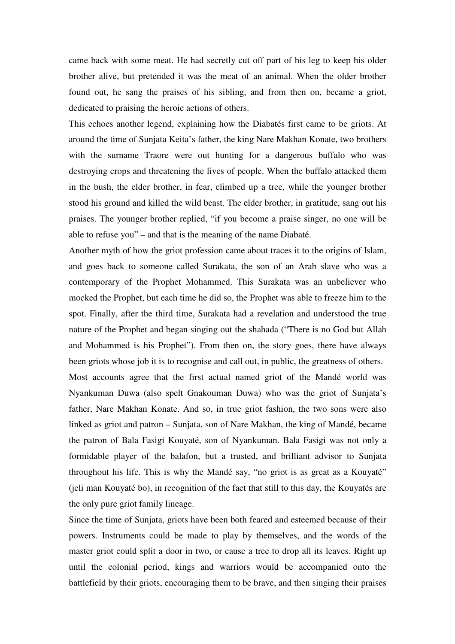came back with some meat. He had secretly cut off part of his leg to keep his older brother alive, but pretended it was the meat of an animal. When the older brother found out, he sang the praises of his sibling, and from then on, became a griot, dedicated to praising the heroic actions of others.

This echoes another legend, explaining how the Diabatés first came to be griots. At around the time of Sunjata Keita's father, the king Nare Makhan Konate, two brothers with the surname Traore were out hunting for a dangerous buffalo who was destroying crops and threatening the lives of people. When the buffalo attacked them in the bush, the elder brother, in fear, climbed up a tree, while the younger brother stood his ground and killed the wild beast. The elder brother, in gratitude, sang out his praises. The younger brother replied, "if you become a praise singer, no one will be able to refuse you" – and that is the meaning of the name Diabaté.

Another myth of how the griot profession came about traces it to the origins of Islam, and goes back to someone called Surakata, the son of an Arab slave who was a contemporary of the Prophet Mohammed. This Surakata was an unbeliever who mocked the Prophet, but each time he did so, the Prophet was able to freeze him to the spot. Finally, after the third time, Surakata had a revelation and understood the true nature of the Prophet and began singing out the shahada ("There is no God but Allah and Mohammed is his Prophet"). From then on, the story goes, there have always been griots whose job it is to recognise and call out, in public, the greatness of others. Most accounts agree that the first actual named griot of the Mandé world was Nyankuman Duwa (also spelt Gnakouman Duwa) who was the griot of Sunjata's father, Nare Makhan Konate. And so, in true griot fashion, the two sons were also linked as griot and patron – Sunjata, son of Nare Makhan, the king of Mandé, became the patron of Bala Fasigi Kouyaté, son of Nyankuman. Bala Fasigi was not only a formidable player of the balafon, but a trusted, and brilliant advisor to Sunjata throughout his life. This is why the Mandé say, "no griot is as great as a Kouyaté" (jeli man Kouyaté bo), in recognition of the fact that still to this day, the Kouyatés are the only pure griot family lineage.

Since the time of Sunjata, griots have been both feared and esteemed because of their powers. Instruments could be made to play by themselves, and the words of the master griot could split a door in two, or cause a tree to drop all its leaves. Right up until the colonial period, kings and warriors would be accompanied onto the battlefield by their griots, encouraging them to be brave, and then singing their praises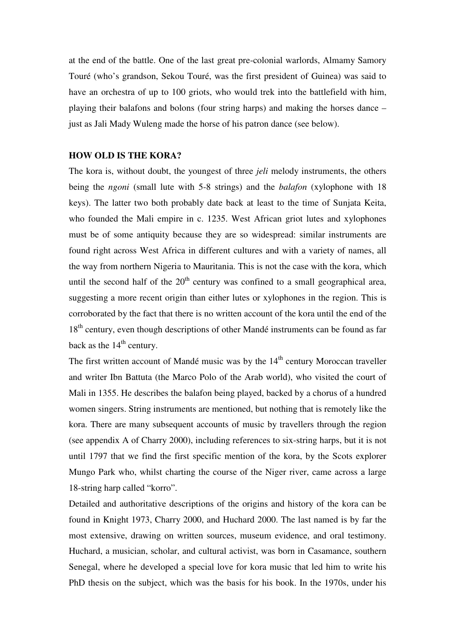at the end of the battle. One of the last great pre-colonial warlords, Almamy Samory Touré (who's grandson, Sekou Touré, was the first president of Guinea) was said to have an orchestra of up to 100 griots, who would trek into the battlefield with him, playing their balafons and bolons (four string harps) and making the horses dance – just as Jali Mady Wuleng made the horse of his patron dance (see below).

#### **HOW OLD IS THE KORA?**

The kora is, without doubt, the youngest of three *jeli* melody instruments, the others being the *ngoni* (small lute with 5-8 strings) and the *balafon* (xylophone with 18 keys). The latter two both probably date back at least to the time of Sunjata Keita, who founded the Mali empire in c. 1235. West African griot lutes and xylophones must be of some antiquity because they are so widespread: similar instruments are found right across West Africa in different cultures and with a variety of names, all the way from northern Nigeria to Mauritania. This is not the case with the kora, which until the second half of the  $20<sup>th</sup>$  century was confined to a small geographical area, suggesting a more recent origin than either lutes or xylophones in the region. This is corroborated by the fact that there is no written account of the kora until the end of the 18<sup>th</sup> century, even though descriptions of other Mandé instruments can be found as far back as the  $14<sup>th</sup>$  century.

The first written account of Mandé music was by the 14<sup>th</sup> century Moroccan traveller and writer Ibn Battuta (the Marco Polo of the Arab world), who visited the court of Mali in 1355. He describes the balafon being played, backed by a chorus of a hundred women singers. String instruments are mentioned, but nothing that is remotely like the kora. There are many subsequent accounts of music by travellers through the region (see appendix A of Charry 2000), including references to six-string harps, but it is not until 1797 that we find the first specific mention of the kora, by the Scots explorer Mungo Park who, whilst charting the course of the Niger river, came across a large 18-string harp called "korro".

Detailed and authoritative descriptions of the origins and history of the kora can be found in Knight 1973, Charry 2000, and Huchard 2000. The last named is by far the most extensive, drawing on written sources, museum evidence, and oral testimony. Huchard, a musician, scholar, and cultural activist, was born in Casamance, southern Senegal, where he developed a special love for kora music that led him to write his PhD thesis on the subject, which was the basis for his book. In the 1970s, under his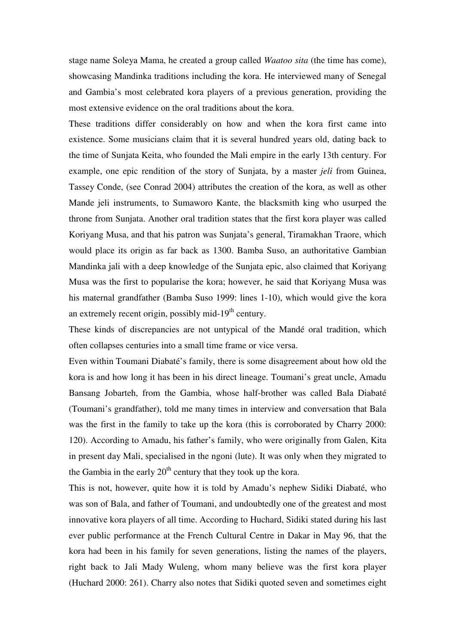stage name Soleya Mama, he created a group called *Waatoo sita* (the time has come), showcasing Mandinka traditions including the kora. He interviewed many of Senegal and Gambia's most celebrated kora players of a previous generation, providing the most extensive evidence on the oral traditions about the kora.

These traditions differ considerably on how and when the kora first came into existence. Some musicians claim that it is several hundred years old, dating back to the time of Sunjata Keita, who founded the Mali empire in the early 13th century. For example, one epic rendition of the story of Sunjata, by a master *jeli* from Guinea, Tassey Conde, (see Conrad 2004) attributes the creation of the kora, as well as other Mande jeli instruments, to Sumaworo Kante, the blacksmith king who usurped the throne from Sunjata. Another oral tradition states that the first kora player was called Koriyang Musa, and that his patron was Sunjata's general, Tiramakhan Traore, which would place its origin as far back as 1300. Bamba Suso, an authoritative Gambian Mandinka jali with a deep knowledge of the Sunjata epic, also claimed that Koriyang Musa was the first to popularise the kora; however, he said that Koriyang Musa was his maternal grandfather (Bamba Suso 1999: lines 1-10), which would give the kora an extremely recent origin, possibly mid-19<sup>th</sup> century.

These kinds of discrepancies are not untypical of the Mandé oral tradition, which often collapses centuries into a small time frame or vice versa.

Even within Toumani Diabaté's family, there is some disagreement about how old the kora is and how long it has been in his direct lineage. Toumani's great uncle, Amadu Bansang Jobarteh, from the Gambia, whose half-brother was called Bala Diabaté (Toumani's grandfather), told me many times in interview and conversation that Bala was the first in the family to take up the kora (this is corroborated by Charry 2000: 120). According to Amadu, his father's family, who were originally from Galen, Kita in present day Mali, specialised in the ngoni (lute). It was only when they migrated to the Gambia in the early  $20<sup>th</sup>$  century that they took up the kora.

This is not, however, quite how it is told by Amadu's nephew Sidiki Diabaté, who was son of Bala, and father of Toumani, and undoubtedly one of the greatest and most innovative kora players of all time. According to Huchard, Sidiki stated during his last ever public performance at the French Cultural Centre in Dakar in May 96, that the kora had been in his family for seven generations, listing the names of the players, right back to Jali Mady Wuleng, whom many believe was the first kora player (Huchard 2000: 261). Charry also notes that Sidiki quoted seven and sometimes eight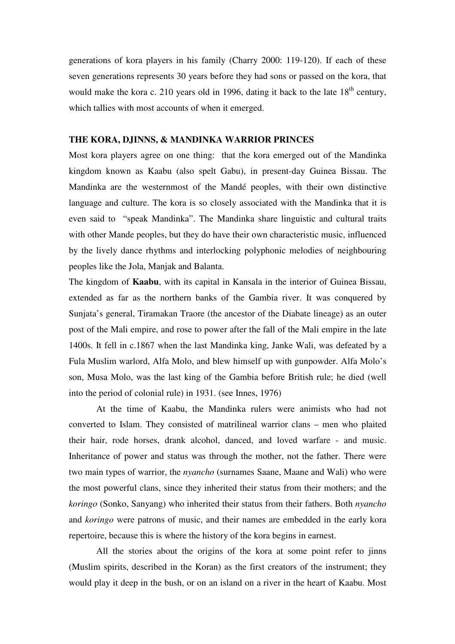generations of kora players in his family (Charry 2000: 119-120). If each of these seven generations represents 30 years before they had sons or passed on the kora, that would make the kora c. 210 years old in 1996, dating it back to the late  $18<sup>th</sup>$  century, which tallies with most accounts of when it emerged.

#### **THE KORA, DJINNS, & MANDINKA WARRIOR PRINCES**

Most kora players agree on one thing: that the kora emerged out of the Mandinka kingdom known as Kaabu (also spelt Gabu), in present-day Guinea Bissau. The Mandinka are the westernmost of the Mandé peoples, with their own distinctive language and culture. The kora is so closely associated with the Mandinka that it is even said to "speak Mandinka". The Mandinka share linguistic and cultural traits with other Mande peoples, but they do have their own characteristic music, influenced by the lively dance rhythms and interlocking polyphonic melodies of neighbouring peoples like the Jola, Manjak and Balanta.

The kingdom of **Kaabu**, with its capital in Kansala in the interior of Guinea Bissau, extended as far as the northern banks of the Gambia river. It was conquered by Sunjata's general, Tiramakan Traore (the ancestor of the Diabate lineage) as an outer post of the Mali empire, and rose to power after the fall of the Mali empire in the late 1400s. It fell in c.1867 when the last Mandinka king, Janke Wali, was defeated by a Fula Muslim warlord, Alfa Molo, and blew himself up with gunpowder. Alfa Molo's son, Musa Molo, was the last king of the Gambia before British rule; he died (well into the period of colonial rule) in 1931. (see Innes, 1976)

At the time of Kaabu, the Mandinka rulers were animists who had not converted to Islam. They consisted of matrilineal warrior clans – men who plaited their hair, rode horses, drank alcohol, danced, and loved warfare - and music. Inheritance of power and status was through the mother, not the father. There were two main types of warrior, the *nyancho* (surnames Saane, Maane and Wali) who were the most powerful clans, since they inherited their status from their mothers; and the *koringo* (Sonko, Sanyang) who inherited their status from their fathers. Both *nyancho* and *koringo* were patrons of music, and their names are embedded in the early kora repertoire, because this is where the history of the kora begins in earnest.

All the stories about the origins of the kora at some point refer to jinns (Muslim spirits, described in the Koran) as the first creators of the instrument; they would play it deep in the bush, or on an island on a river in the heart of Kaabu. Most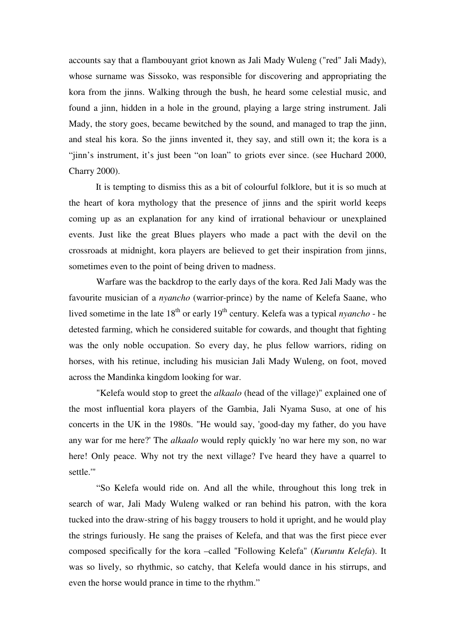accounts say that a flambouyant griot known as Jali Mady Wuleng ("red" Jali Mady), whose surname was Sissoko, was responsible for discovering and appropriating the kora from the jinns. Walking through the bush, he heard some celestial music, and found a jinn, hidden in a hole in the ground, playing a large string instrument. Jali Mady, the story goes, became bewitched by the sound, and managed to trap the jinn, and steal his kora. So the jinns invented it, they say, and still own it; the kora is a "jinn's instrument, it's just been "on loan" to griots ever since. (see Huchard 2000, Charry 2000).

It is tempting to dismiss this as a bit of colourful folklore, but it is so much at the heart of kora mythology that the presence of jinns and the spirit world keeps coming up as an explanation for any kind of irrational behaviour or unexplained events. Just like the great Blues players who made a pact with the devil on the crossroads at midnight, kora players are believed to get their inspiration from jinns, sometimes even to the point of being driven to madness.

Warfare was the backdrop to the early days of the kora. Red Jali Mady was the favourite musician of a *nyancho* (warrior-prince) by the name of Kelefa Saane, who lived sometime in the late 18<sup>th</sup> or early 19<sup>th</sup> century. Kelefa was a typical *nyancho* - he detested farming, which he considered suitable for cowards, and thought that fighting was the only noble occupation. So every day, he plus fellow warriors, riding on horses, with his retinue, including his musician Jali Mady Wuleng, on foot, moved across the Mandinka kingdom looking for war.

"Kelefa would stop to greet the *alkaalo* (head of the village)" explained one of the most influential kora players of the Gambia, Jali Nyama Suso, at one of his concerts in the UK in the 1980s. "He would say, 'good-day my father, do you have any war for me here?'The *alkaalo* would reply quickly 'no war here my son, no war here! Only peace. Why not try the next village? I've heard they have a quarrel to settle.'"

"So Kelefa would ride on. And all the while, throughout this long trek in search of war, Jali Mady Wuleng walked or ran behind his patron, with the kora tucked into the draw-string of his baggy trousers to hold it upright, and he would play the strings furiously. He sang the praises of Kelefa, and that was the first piece ever composed specifically for the kora –called "Following Kelefa" (*Kuruntu Kelefa*). It was so lively, so rhythmic, so catchy, that Kelefa would dance in his stirrups, and even the horse would prance in time to the rhythm."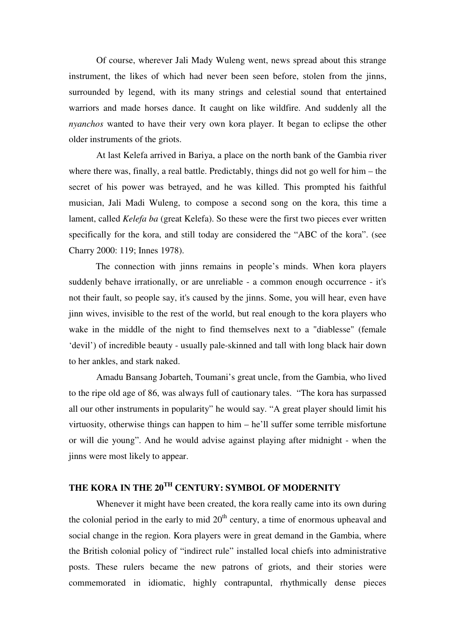Of course, wherever Jali Mady Wuleng went, news spread about this strange instrument, the likes of which had never been seen before, stolen from the jinns, surrounded by legend, with its many strings and celestial sound that entertained warriors and made horses dance. It caught on like wildfire. And suddenly all the *nyanchos* wanted to have their very own kora player. It began to eclipse the other older instruments of the griots.

At last Kelefa arrived in Bariya, a place on the north bank of the Gambia river where there was, finally, a real battle. Predictably, things did not go well for him – the secret of his power was betrayed, and he was killed. This prompted his faithful musician, Jali Madi Wuleng, to compose a second song on the kora, this time a lament, called *Kelefa ba* (great Kelefa). So these were the first two pieces ever written specifically for the kora, and still today are considered the "ABC of the kora". (see Charry 2000: 119; Innes 1978).

The connection with jinns remains in people's minds. When kora players suddenly behave irrationally, or are unreliable - a common enough occurrence - it's not their fault, so people say, it's caused by the jinns. Some, you will hear, even have jinn wives, invisible to the rest of the world, but real enough to the kora players who wake in the middle of the night to find themselves next to a "diablesse" (female 'devil') of incredible beauty - usually pale-skinned and tall with long black hair down to her ankles, and stark naked.

Amadu Bansang Jobarteh, Toumani's great uncle, from the Gambia, who lived to the ripe old age of 86, was always full of cautionary tales. "The kora has surpassed all our other instruments in popularity" he would say. "A great player should limit his virtuosity, otherwise things can happen to him – he'll suffer some terrible misfortune or will die young". And he would advise against playing after midnight - when the jinns were most likely to appear.

## **THE KORA IN THE 20 TH CENTURY: SYMBOL OF MODERNITY**

Whenever it might have been created, the kora really came into its own during the colonial period in the early to mid  $20<sup>th</sup>$  century, a time of enormous upheaval and social change in the region. Kora players were in great demand in the Gambia, where the British colonial policy of "indirect rule" installed local chiefs into administrative posts. These rulers became the new patrons of griots, and their stories were commemorated in idiomatic, highly contrapuntal, rhythmically dense pieces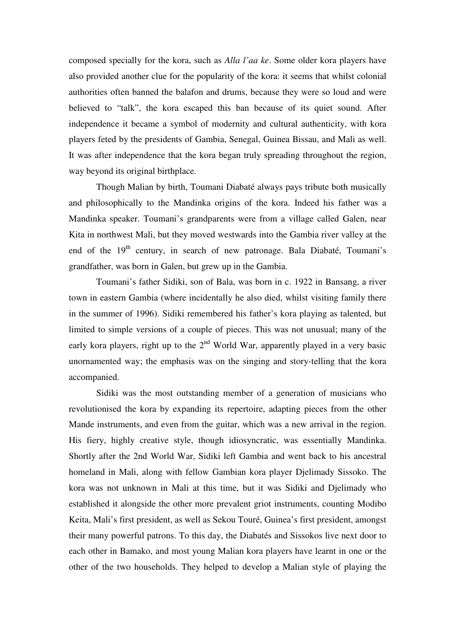composed specially for the kora, such as *Alla l'aa ke*. Some older kora players have also provided another clue for the popularity of the kora: it seems that whilst colonial authorities often banned the balafon and drums, because they were so loud and were believed to "talk", the kora escaped this ban because of its quiet sound. After independence it became a symbol of modernity and cultural authenticity, with kora players feted by the presidents of Gambia, Senegal, Guinea Bissau, and Mali as well. It was after independence that the kora began truly spreading throughout the region, way beyond its original birthplace.

Though Malian by birth, Toumani Diabaté always pays tribute both musically and philosophically to the Mandinka origins of the kora. Indeed his father was a Mandinka speaker. Toumani's grandparents were from a village called Galen, near Kita in northwest Mali, but they moved westwards into the Gambia river valley at the end of the 19<sup>th</sup> century, in search of new patronage. Bala Diabaté, Toumani's grandfather, was born in Galen, but grew up in the Gambia.

Toumani's father Sidiki, son of Bala, was born in c. 1922 in Bansang, a river town in eastern Gambia (where incidentally he also died, whilst visiting family there in the summer of 1996). Sidiki remembered his father's kora playing as talented, but limited to simple versions of a couple of pieces. This was not unusual; many of the early kora players, right up to the  $2<sup>nd</sup>$  World War, apparently played in a very basic unornamented way; the emphasis was on the singing and story-telling that the kora accompanied.

Sidiki was the most outstanding member of a generation of musicians who revolutionised the kora by expanding its repertoire, adapting pieces from the other Mande instruments, and even from the guitar, which was a new arrival in the region. His fiery, highly creative style, though idiosyncratic, was essentially Mandinka. Shortly after the 2nd World War, Sidiki left Gambia and went back to his ancestral homeland in Mali, along with fellow Gambian kora player Djelimady Sissoko. The kora was not unknown in Mali at this time, but it was Sidiki and Djelimady who established it alongside the other more prevalent griot instruments, counting Modibo Keita, Mali's first president, as well as Sekou Touré, Guinea's first president, amongst their many powerful patrons. To this day, the Diabatés and Sissokos live next door to each other in Bamako, and most young Malian kora players have learnt in one or the other of the two households. They helped to develop a Malian style of playing the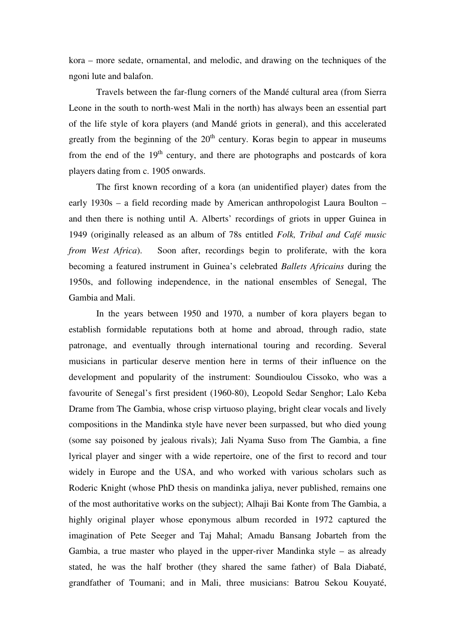kora – more sedate, ornamental, and melodic, and drawing on the techniques of the ngoni lute and balafon.

Travels between the far-flung corners of the Mandé cultural area (from Sierra Leone in the south to north-west Mali in the north) has always been an essential part of the life style of kora players (and Mandé griots in general), and this accelerated greatly from the beginning of the  $20<sup>th</sup>$  century. Koras begin to appear in museums from the end of the 19<sup>th</sup> century, and there are photographs and postcards of kora players dating from c. 1905 onwards.

The first known recording of a kora (an unidentified player) dates from the early 1930s – a field recording made by American anthropologist Laura Boulton – and then there is nothing until A. Alberts' recordings of griots in upper Guinea in 1949 (originally released as an album of 78s entitled *Folk, Tribal and Café music from West Africa*). Soon after, recordings begin to proliferate, with the kora becoming a featured instrument in Guinea's celebrated *Ballets Africains* during the 1950s, and following independence, in the national ensembles of Senegal, The Gambia and Mali.

In the years between 1950 and 1970, a number of kora players began to establish formidable reputations both at home and abroad, through radio, state patronage, and eventually through international touring and recording. Several musicians in particular deserve mention here in terms of their influence on the development and popularity of the instrument: Soundioulou Cissoko, who was a favourite of Senegal's first president (1960-80), Leopold Sedar Senghor; Lalo Keba Drame from The Gambia, whose crisp virtuoso playing, bright clear vocals and lively compositions in the Mandinka style have never been surpassed, but who died young (some say poisoned by jealous rivals); Jali Nyama Suso from The Gambia, a fine lyrical player and singer with a wide repertoire, one of the first to record and tour widely in Europe and the USA, and who worked with various scholars such as Roderic Knight (whose PhD thesis on mandinka jaliya, never published, remains one of the most authoritative works on the subject); Alhaji Bai Konte from The Gambia, a highly original player whose eponymous album recorded in 1972 captured the imagination of Pete Seeger and Taj Mahal; Amadu Bansang Jobarteh from the Gambia, a true master who played in the upper-river Mandinka style – as already stated, he was the half brother (they shared the same father) of Bala Diabaté, grandfather of Toumani; and in Mali, three musicians: Batrou Sekou Kouyaté,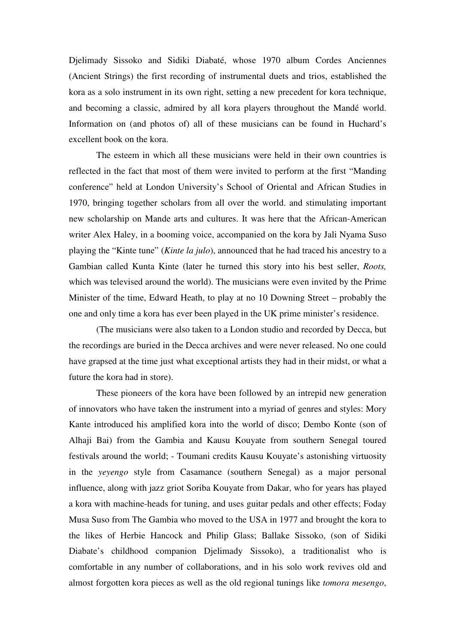Djelimady Sissoko and Sidiki Diabaté, whose 1970 album Cordes Anciennes (Ancient Strings) the first recording of instrumental duets and trios, established the kora as a solo instrument in its own right, setting a new precedent for kora technique, and becoming a classic, admired by all kora players throughout the Mandé world. Information on (and photos of) all of these musicians can be found in Huchard's excellent book on the kora.

The esteem in which all these musicians were held in their own countries is reflected in the fact that most of them were invited to perform at the first "Manding conference" held at London University's School of Oriental and African Studies in 1970, bringing together scholars from all over the world. and stimulating important new scholarship on Mande arts and cultures. It was here that the African-American writer Alex Haley, in a booming voice, accompanied on the kora by Jali Nyama Suso playing the "Kinte tune" (*Kinte la julo*), announced that he had traced his ancestry to a Gambian called Kunta Kinte (later he turned this story into his best seller, *Roots,* which was televised around the world). The musicians were even invited by the Prime Minister of the time, Edward Heath, to play at no 10 Downing Street – probably the one and only time a kora has ever been played in the UK prime minister's residence.

(The musicians were also taken to a London studio and recorded by Decca, but the recordings are buried in the Decca archives and were never released. No one could have grapsed at the time just what exceptional artists they had in their midst, or what a future the kora had in store).

These pioneers of the kora have been followed by an intrepid new generation of innovators who have taken the instrument into a myriad of genres and styles: Mory Kante introduced his amplified kora into the world of disco; Dembo Konte (son of Alhaji Bai) from the Gambia and Kausu Kouyate from southern Senegal toured festivals around the world; - Toumani credits Kausu Kouyate's astonishing virtuosity in the *yeyengo* style from Casamance (southern Senegal) as a major personal influence, along with jazz griot Soriba Kouyate from Dakar, who for years has played a kora with machine-heads for tuning, and uses guitar pedals and other effects; Foday Musa Suso from The Gambia who moved to the USA in 1977 and brought the kora to the likes of Herbie Hancock and Philip Glass; Ballake Sissoko, (son of Sidiki Diabate's childhood companion Djelimady Sissoko), a traditionalist who is comfortable in any number of collaborations, and in his solo work revives old and almost forgotten kora pieces as well as the old regional tunings like *tomora mesengo*,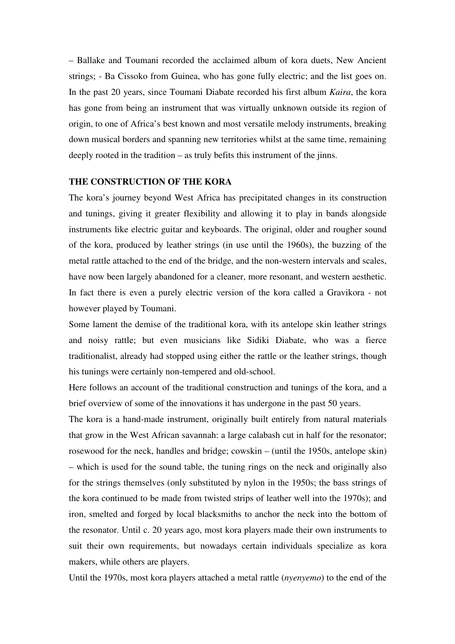– Ballake and Toumani recorded the acclaimed album of kora duets, New Ancient strings; - Ba Cissoko from Guinea, who has gone fully electric; and the list goes on. In the past 20 years, since Toumani Diabate recorded his first album *Kaira*, the kora has gone from being an instrument that was virtually unknown outside its region of origin, to one of Africa's best known and most versatile melody instruments, breaking down musical borders and spanning new territories whilst at the same time, remaining deeply rooted in the tradition – as truly befits this instrument of the jinns.

#### **THE CONSTRUCTION OF THE KORA**

The kora's journey beyond West Africa has precipitated changes in its construction and tunings, giving it greater flexibility and allowing it to play in bands alongside instruments like electric guitar and keyboards. The original, older and rougher sound of the kora, produced by leather strings (in use until the 1960s), the buzzing of the metal rattle attached to the end of the bridge, and the non-western intervals and scales, have now been largely abandoned for a cleaner, more resonant, and western aesthetic. In fact there is even a purely electric version of the kora called a Gravikora - not however played by Toumani.

Some lament the demise of the traditional kora, with its antelope skin leather strings and noisy rattle; but even musicians like Sidiki Diabate, who was a fierce traditionalist, already had stopped using either the rattle or the leather strings, though his tunings were certainly non-tempered and old-school.

Here follows an account of the traditional construction and tunings of the kora, and a brief overview of some of the innovations it has undergone in the past 50 years.

The kora is a hand-made instrument, originally built entirely from natural materials that grow in the West African savannah: a large calabash cut in half for the resonator; rosewood for the neck, handles and bridge; cowskin – (until the 1950s, antelope skin) – which is used for the sound table, the tuning rings on the neck and originally also for the strings themselves (only substituted by nylon in the 1950s; the bass strings of the kora continued to be made from twisted strips of leather well into the 1970s); and iron, smelted and forged by local blacksmiths to anchor the neck into the bottom of the resonator. Until c. 20 years ago, most kora players made their own instruments to suit their own requirements, but nowadays certain individuals specialize as kora makers, while others are players.

Until the 1970s, most kora players attached a metal rattle (*nyenyemo*) to the end of the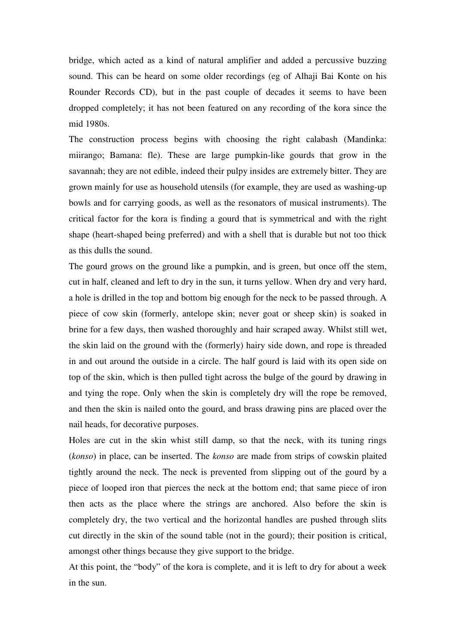bridge, which acted as a kind of natural amplifier and added a percussive buzzing sound. This can be heard on some older recordings (eg of Alhaji Bai Konte on his Rounder Records CD), but in the past couple of decades it seems to have been dropped completely; it has not been featured on any recording of the kora since the mid 1980s.

The construction process begins with choosing the right calabash (Mandinka: miirango; Bamana: fle). These are large pumpkin-like gourds that grow in the savannah; they are not edible, indeed their pulpy insides are extremely bitter. They are grown mainly for use as household utensils (for example, they are used as washing-up bowls and for carrying goods, as well as the resonators of musical instruments). The critical factor for the kora is finding a gourd that is symmetrical and with the right shape (heart-shaped being preferred) and with a shell that is durable but not too thick as this dulls the sound.

The gourd grows on the ground like a pumpkin, and is green, but once off the stem, cut in half, cleaned and left to dry in the sun, it turns yellow. When dry and very hard, a hole is drilled in the top and bottom big enough for the neck to be passed through. A piece of cow skin (formerly, antelope skin; never goat or sheep skin) is soaked in brine for a few days, then washed thoroughly and hair scraped away. Whilst still wet, the skin laid on the ground with the (formerly) hairy side down, and rope is threaded in and out around the outside in a circle. The half gourd is laid with its open side on top of the skin, which is then pulled tight across the bulge of the gourd by drawing in and tying the rope. Only when the skin is completely dry will the rope be removed, and then the skin is nailed onto the gourd, and brass drawing pins are placed over the nail heads, for decorative purposes.

Holes are cut in the skin whist still damp, so that the neck, with its tuning rings (*konso*) in place, can be inserted. The *konso* are made from strips of cowskin plaited tightly around the neck. The neck is prevented from slipping out of the gourd by a piece of looped iron that pierces the neck at the bottom end; that same piece of iron then acts as the place where the strings are anchored. Also before the skin is completely dry, the two vertical and the horizontal handles are pushed through slits cut directly in the skin of the sound table (not in the gourd); their position is critical, amongst other things because they give support to the bridge.

At this point, the "body" of the kora is complete, and it is left to dry for about a week in the sun.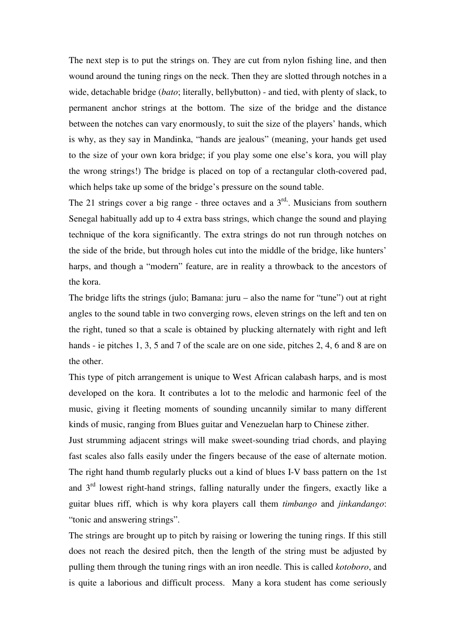The next step is to put the strings on. They are cut from nylon fishing line, and then wound around the tuning rings on the neck. Then they are slotted through notches in a wide, detachable bridge (*bato*; literally, bellybutton) - and tied, with plenty of slack, to permanent anchor strings at the bottom. The size of the bridge and the distance between the notches can vary enormously, to suit the size of the players' hands, which is why, as they say in Mandinka, "hands are jealous" (meaning, your hands get used to the size of your own kora bridge; if you play some one else's kora, you will play the wrong strings!) The bridge is placed on top of a rectangular cloth-covered pad, which helps take up some of the bridge's pressure on the sound table.

The 21 strings cover a big range - three octaves and a  $3<sup>rd</sup>$ . Musicians from southern Senegal habitually add up to 4 extra bass strings, which change the sound and playing technique of the kora significantly. The extra strings do not run through notches on the side of the bride, but through holes cut into the middle of the bridge, like hunters' harps, and though a "modern" feature, are in reality a throwback to the ancestors of the kora.

The bridge lifts the strings (julo; Bamana: juru – also the name for "tune") out at right angles to the sound table in two converging rows, eleven strings on the left and ten on the right, tuned so that a scale is obtained by plucking alternately with right and left hands - ie pitches 1, 3, 5 and 7 of the scale are on one side, pitches 2, 4, 6 and 8 are on the other.

This type of pitch arrangement is unique to West African calabash harps, and is most developed on the kora. It contributes a lot to the melodic and harmonic feel of the music, giving it fleeting moments of sounding uncannily similar to many different kinds of music, ranging from Blues guitar and Venezuelan harp to Chinese zither.

Just strumming adjacent strings will make sweet-sounding triad chords, and playing fast scales also falls easily under the fingers because of the ease of alternate motion. The right hand thumb regularly plucks out a kind of blues I-V bass pattern on the 1st and  $3<sup>rd</sup>$  lowest right-hand strings, falling naturally under the fingers, exactly like a guitar blues riff, which is why kora players call them *timbango* and *jinkandango*: "tonic and answering strings".

The strings are brought up to pitch by raising or lowering the tuning rings. If this still does not reach the desired pitch, then the length of the string must be adjusted by pulling them through the tuning rings with an iron needle. This is called *kotoboro*, and is quite a laborious and difficult process. Many a kora student has come seriously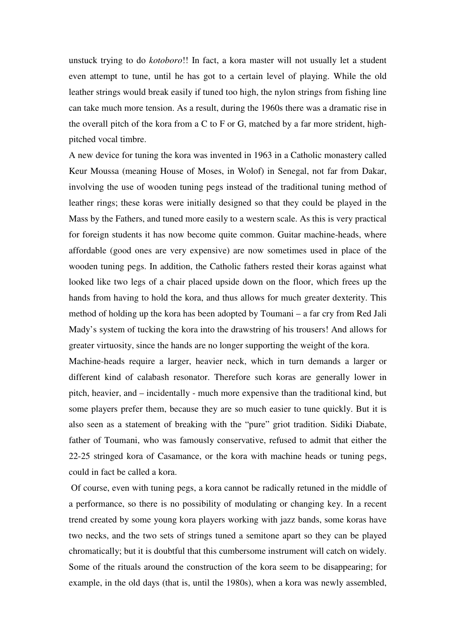unstuck trying to do *kotoboro*!! In fact, a kora master will not usually let a student even attempt to tune, until he has got to a certain level of playing. While the old leather strings would break easily if tuned too high, the nylon strings from fishing line can take much more tension. As a result, during the 1960s there was a dramatic rise in the overall pitch of the kora from a C to F or G, matched by a far more strident, highpitched vocal timbre.

A new device for tuning the kora was invented in 1963 in a Catholic monastery called Keur Moussa (meaning House of Moses, in Wolof) in Senegal, not far from Dakar, involving the use of wooden tuning pegs instead of the traditional tuning method of leather rings; these koras were initially designed so that they could be played in the Mass by the Fathers, and tuned more easily to a western scale. As this is very practical for foreign students it has now become quite common. Guitar machine-heads, where affordable (good ones are very expensive) are now sometimes used in place of the wooden tuning pegs. In addition, the Catholic fathers rested their koras against what looked like two legs of a chair placed upside down on the floor, which frees up the hands from having to hold the kora, and thus allows for much greater dexterity. This method of holding up the kora has been adopted by Toumani – a far cry from Red Jali Mady's system of tucking the kora into the drawstring of his trousers! And allows for greater virtuosity, since the hands are no longer supporting the weight of the kora.

Machine-heads require a larger, heavier neck, which in turn demands a larger or different kind of calabash resonator. Therefore such koras are generally lower in pitch, heavier, and – incidentally - much more expensive than the traditional kind, but some players prefer them, because they are so much easier to tune quickly. But it is also seen as a statement of breaking with the "pure" griot tradition. Sidiki Diabate, father of Toumani, who was famously conservative, refused to admit that either the 22-25 stringed kora of Casamance, or the kora with machine heads or tuning pegs, could in fact be called a kora.

Of course, even with tuning pegs, a kora cannot be radically retuned in the middle of a performance, so there is no possibility of modulating or changing key. In a recent trend created by some young kora players working with jazz bands, some koras have two necks, and the two sets of strings tuned a semitone apart so they can be played chromatically; but it is doubtful that this cumbersome instrument will catch on widely. Some of the rituals around the construction of the kora seem to be disappearing; for example, in the old days (that is, until the 1980s), when a kora was newly assembled,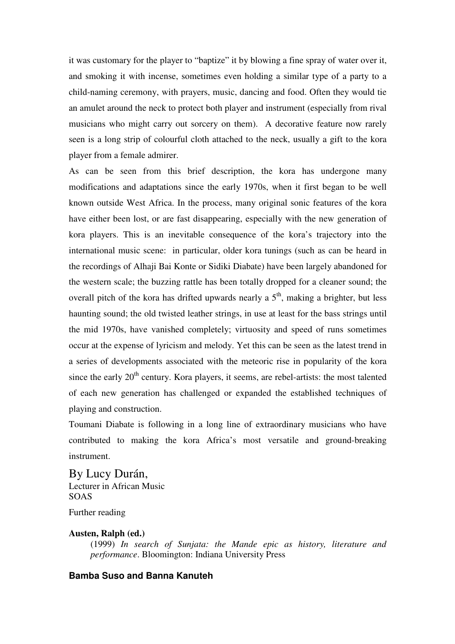it was customary for the player to "baptize" it by blowing a fine spray of water over it, and smoking it with incense, sometimes even holding a similar type of a party to a child-naming ceremony, with prayers, music, dancing and food. Often they would tie an amulet around the neck to protect both player and instrument (especially from rival musicians who might carry out sorcery on them). A decorative feature now rarely seen is a long strip of colourful cloth attached to the neck, usually a gift to the kora player from a female admirer.

As can be seen from this brief description, the kora has undergone many modifications and adaptations since the early 1970s, when it first began to be well known outside West Africa. In the process, many original sonic features of the kora have either been lost, or are fast disappearing, especially with the new generation of kora players. This is an inevitable consequence of the kora's trajectory into the international music scene: in particular, older kora tunings (such as can be heard in the recordings of Alhaji Bai Konte or Sidiki Diabate) have been largely abandoned for the western scale; the buzzing rattle has been totally dropped for a cleaner sound; the overall pitch of the kora has drifted upwards nearly a  $5<sup>th</sup>$ , making a brighter, but less haunting sound; the old twisted leather strings, in use at least for the bass strings until the mid 1970s, have vanished completely; virtuosity and speed of runs sometimes occur at the expense of lyricism and melody. Yet this can be seen as the latest trend in a series of developments associated with the meteoric rise in popularity of the kora since the early  $20<sup>th</sup>$  century. Kora players, it seems, are rebel-artists: the most talented of each new generation has challenged or expanded the established techniques of playing and construction.

Toumani Diabate is following in a long line of extraordinary musicians who have contributed to making the kora Africa's most versatile and ground-breaking instrument.

By Lucy Durán, Lecturer in African Music SOAS

## Further reading

#### **Austen, Ralph (ed.)**

(1999) *In search of Sunjata: the Mande epic as history, literature and performance*. Bloomington: Indiana University Press

#### **Bamba Suso and Banna Kanuteh**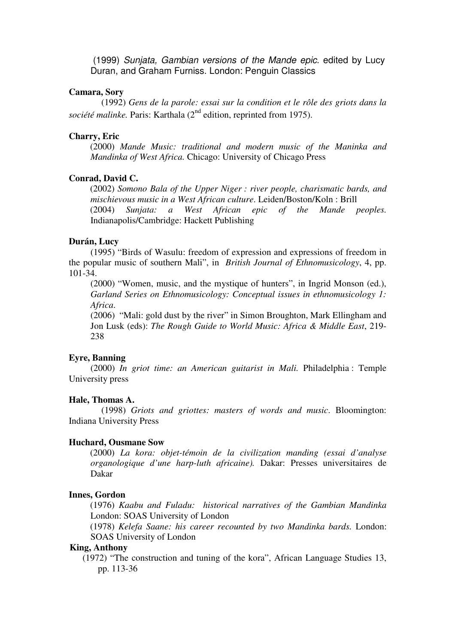(1999) *Sunjata, Gambian versions of the Mande epic*. edited by Lucy Duran, and Graham Furniss. London: Penguin Classics

#### **Camara, Sory**

(1992) *Gens de la parole: essai sur la condition et le rôle des griots dans la* société malinke. Paris: Karthala (2<sup>nd</sup> edition, reprinted from 1975).

#### **Charry, Eric**

(2000) *Mande Music: traditional and modern music of the Maninka and Mandinka of West Africa.* Chicago: University of Chicago Press

#### **Conrad, David C.**

(2002) *Somono Bala of the Upper Niger : river people, charismatic bards, and mischievous music in a West African culture*. Leiden/Boston/Koln : Brill (2004) *Sunjata: a West African epic of the Mande peoples.* Indianapolis/Cambridge: Hackett Publishing

#### **Durán, Lucy**

(1995) "Birds of Wasulu: freedom of expression and expressions of freedom in the popular music of southern Mali", in *British Journal of Ethnomusicology*, 4, pp. 101-34.

(2000) "Women, music, and the mystique of hunters", in Ingrid Monson (ed.), *Garland Series on Ethnomusicology: Conceptual issues in ethnomusicology 1: Africa*.

(2006) "Mali: gold dust by the river" in Simon Broughton, Mark Ellingham and Jon Lusk (eds): *The Rough Guide to World Music: Africa & Middle East*, 219- 238

#### **Eyre, Banning**

(2000) *In griot time: an American guitarist in Mali.* Philadelphia : Temple University press

#### **Hale, Thomas A.**

(1998) *Griots and griottes: masters of words and music*. Bloomington: Indiana University Press

#### **Huchard, Ousmane Sow**

(2000) *La kora: objet-témoin de la civilization manding (essai d'analyse organologique d'une harp-luth africaine).* Dakar: Presses universitaires de Dakar

#### **Innes, Gordon**

(1976) *Kaabu and Fuladu: historical narratives of the Gambian Mandinka* London: SOAS University of London

(1978) *Kelefa Saane: his career recounted by two Mandinka bards.* London: SOAS University of London

#### **King, Anthony**

(1972) "The construction and tuning of the kora", African Language Studies 13, pp. 113-36